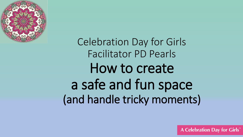

Celebration Day for Girls Facilitator PD Pearls How to create a safe and fun space (and handle tricky moments)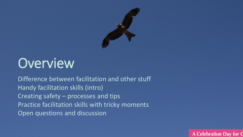

### **Overview**

Difference between facilitation and other stuff Handy facilitation skills (intro) Creating safety – processes and tips Practice facilitation skills with tricky moments Open questions and discussion

**A Celebration Day for C**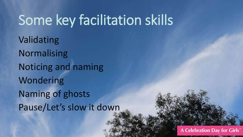## Some key facilitation skills

Validating Normalising Noticing and naming Wondering Naming of ghosts Pause/Let's slow it down

A Celebration Day for Girls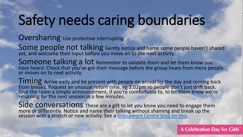## Safety needs caring boundaries

**Oversharing** Use protective interrupting

Some people not talking Gently notice and name some people haven't shared yet, and welcome their input before you move on to the next activity

Someone talking a lot Remember to validate them and let them know you have heard. Check that you've got their message before the group hears from more people or moves on to next activity.

Timing Arrive early and be present with people on arrival for the day and coming back from breaks. Request an unusual return time, eg 2.02pm so people don't just drift back. Give the room a simple announcement, if you're comfortable to, to let them know we're returning for the next session in a few minutes.

Side conversations These are a gift to let you know you need to engage them more or differently. Notice and name their talking without shaming and break up the session with a stretch or new activity. See a [Groupwork Centre blog on this](https://groupwork.com.au/2018/10/handle-side-conversations/).

A Celebration Day for Girls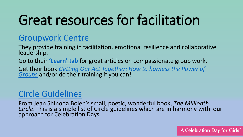## Great resources for facilitation

#### [Groupwork Centre](https://groupwork.com.au/)

They provide training in facilitation, emotional resilience and collaborative leadership.

Go to their **['Learn'](https://groupwork.com.au/blog/) tab** for great articles on compassionate group work.

Get their book *[Getting Our Act Together: How to harness the Power of](https://groupwork.com.au/product/getting-our-act-together-how-to-harness-the-power-of-groups/)  Groups* and/or do their training if you can!

#### [Circle Guidelines](https://millionthcircle.org/circle-resources/circle-guidelines/)

From Jean Shinoda Bolen's small, poetic, wonderful book, *The Millionth Circle*. This is a simple list of Circle guidelines which are in harmony with our approach for Celebration Days.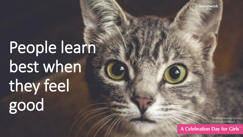Groupwork

# People learn best when they feel good

Photo by Isabela Ferreira Austin on Unsplash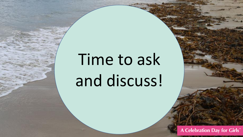# Time to ask and discuss!

A Celebration Day for Girls™